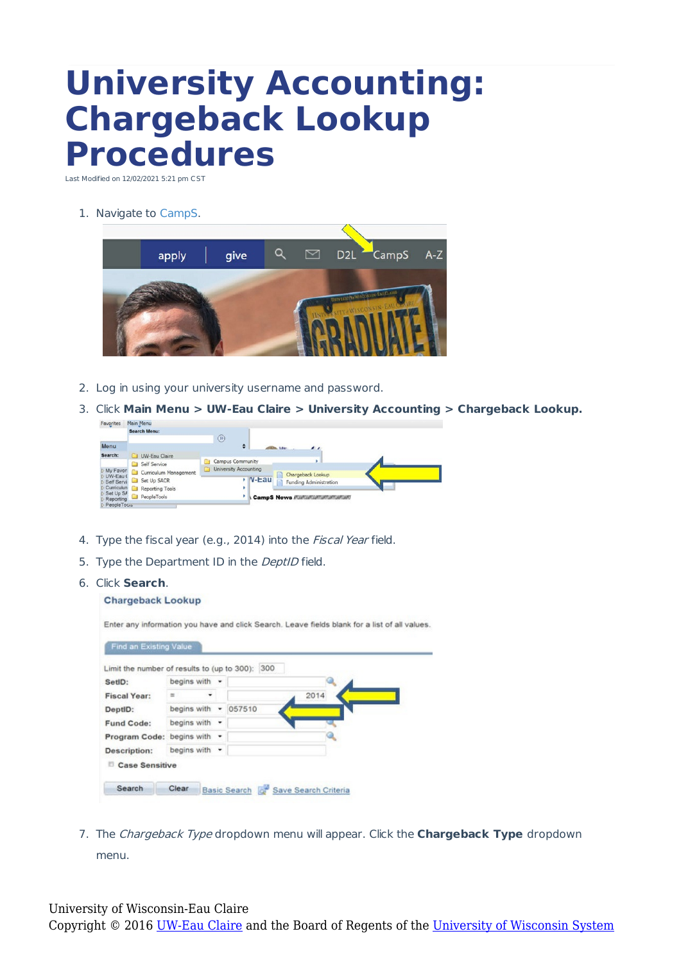## **University Accounting: Chargeback Lookup Procedures**

Last Modified on 12/02/2021 5:21 pm CST

1. Navigate to CampS.



- 2. Log in using your university username and password.
- 3. Click **Main Menu > UW-Eau Claire > University Accounting > Chargeback Lookup.** Favorites Main Menu

|                                       | <b>Search Menu:</b>                         |                         |          |                                            |  |
|---------------------------------------|---------------------------------------------|-------------------------|----------|--------------------------------------------|--|
| Menu                                  |                                             | $^{\circledR}$<br>٥     |          | $\overline{\phantom{a}}$<br><b>The Adv</b> |  |
| Search:                               | <b>UW-Eau Claire</b>                        | <b>Campus Community</b> |          |                                            |  |
| My Favor<br>UW-Eau 0                  | Self Service<br>n.<br>Curriculum Management | University Accounting   |          | Chargeback Lookup                          |  |
| Self Servi<br>Curriculun              | Set Up SACR<br>Reporting Tools              |                         | $V$ -Lau | Funding Administration                     |  |
| Set Up SA<br>Reporting<br>PeopleTocis | PeopleTools                                 |                         |          |                                            |  |

- 4. Type the fiscal year (e.g., 2014) into the *Fiscal Year* field.
- 5. Type the Department ID in the DeptID field.

## 6. Click **Search**.

## **Chargeback Lookup**

Enter any information you have and click Search. Leave fields blank for a list of all values.

| Limit the number of results to (up to 300): 300 |                    |        |
|-------------------------------------------------|--------------------|--------|
| SetID:                                          | begins with -      |        |
| <b>Fiscal Year:</b>                             | ۷<br>$=$           | 2014   |
| DeptID:                                         | begins with $\sim$ | 057510 |
| Fund Code:                                      | begins with -      |        |
| Program Code: begins with .                     |                    |        |
| <b>Description:</b>                             | begins with -      |        |
| Case Sensitive                                  |                    |        |

7. The Chargeback Type dropdown menu will appear. Click the **Chargeback Type** dropdown menu.